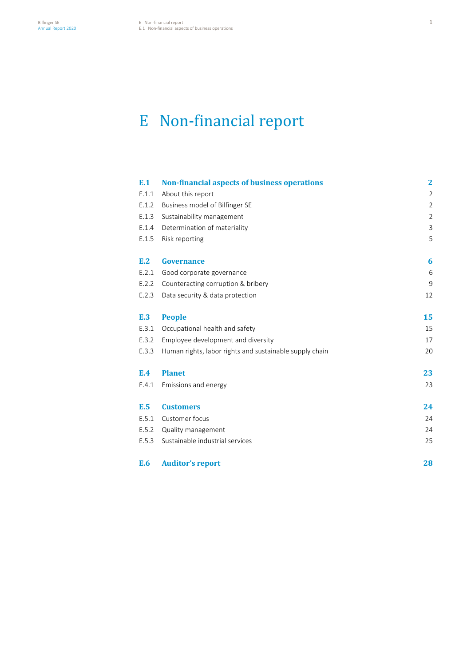# E Non-financial report

| E.1   | <b>Non-financial aspects of business operations</b>     | $\mathbf{2}$   |
|-------|---------------------------------------------------------|----------------|
| E.1.1 | About this report                                       | $\overline{2}$ |
| E.1.2 | Business model of Bilfinger SE                          | $\overline{2}$ |
| E.1.3 | Sustainability management                               | $\overline{2}$ |
| E.1.4 | Determination of materiality                            | 3              |
| E.1.5 | Risk reporting                                          | 5              |
| E.2   | <b>Governance</b>                                       | 6              |
| E.2.1 | Good corporate governance                               | 6              |
| E.2.2 | Counteracting corruption & bribery                      | 9              |
| E.2.3 | Data security & data protection                         | 12             |
| E.3   | <b>People</b>                                           | 15             |
| E.3.1 | Occupational health and safety                          | 15             |
| E.3.2 | Employee development and diversity                      | 17             |
| E.3.3 | Human rights, labor rights and sustainable supply chain | 20             |
| E.4   | <b>Planet</b>                                           | 23             |
| E.4.1 | Emissions and energy                                    | 23             |
| E.5   | <b>Customers</b>                                        | 24             |
| E.5.1 | Customer focus                                          | 24             |
| E.5.2 | Quality management                                      | 24             |
| E.5.3 | Sustainable industrial services                         | 25             |
| E.6   | <b>Auditor's report</b>                                 | 28             |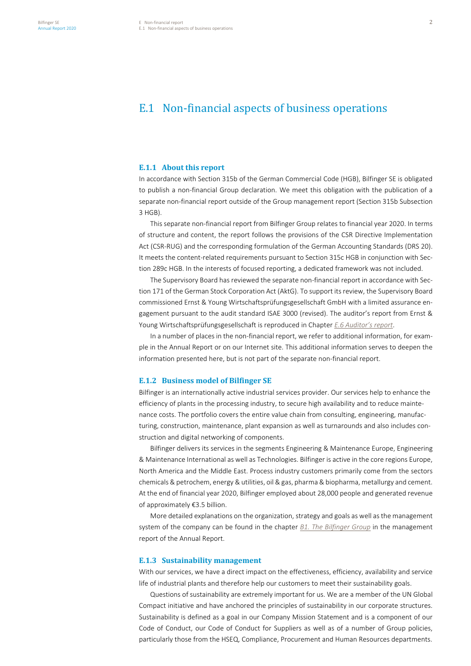# E.1 Non-financial aspects of business operations

#### **E.1.1 About this report**

In accordance with Section 315b of the German Commercial Code (HGB), Bilfinger SE is obligated to publish a non-financial Group declaration. We meet this obligation with the publication of a separate non-financial report outside of the Group management report (Section 315b Subsection 3 HGB).

This separate non-financial report from Bilfinger Group relates to financial year 2020. In terms of structure and content, the report follows the provisions of the CSR Directive Implementation Act (CSR-RUG) and the corresponding formulation of the German Accounting Standards (DRS 20). It meets the content-related requirements pursuant to Section 315c HGB in conjunction with Section 289c HGB. In the interests of focused reporting, a dedicated framework was not included.

The Supervisory Board has reviewed the separate non-financial report in accordance with Section 171 of the German Stock Corporation Act (AktG). To support its review, the Supervisory Board commissioned Ernst & Young Wirtschaftsprüfungsgesellschaft GmbH with a limited assurance engagement pursuant to the audit standard ISAE 3000 (revised). The auditor's report from Ernst & Young Wirtschaftsprüfungsgesellschaft is reproduced in Chapter *E.6 Auditor's report*.

In a number of places in the non-financial report, we refer to additional information, for example in the Annual Report or on our Internet site. This additional information serves to deepen the information presented here, but is not part of the separate non-financial report.

#### **E.1.2 Business model of Bilfinger SE**

Bilfinger is an internationally active industrial services provider. Our services help to enhance the efficiency of plants in the processing industry, to secure high availability and to reduce maintenance costs. The portfolio covers the entire value chain from consulting, engineering, manufacturing, construction, maintenance, plant expansion as well as turnarounds and also includes construction and digital networking of components.

Bilfinger delivers its services in the segments Engineering & Maintenance Europe, Engineering & Maintenance International as well as Technologies. Bilfinger is active in the core regions Europe, North America and the Middle East. Process industry customers primarily come from the sectors chemicals & petrochem, energy & utilities, oil & gas, pharma & biopharma, metallurgy and cement. At the end of financial year 2020, Bilfinger employed about 28,000 people and generated revenue of approximately €3.5 billion.

More detailed explanations on the organization, strategy and goals as well as the management system of the company can be found in the chapter *B1. The Bilfinger Group* in the management report of the Annual Report.

# **E.1.3 Sustainability management**

With our services, we have a direct impact on the effectiveness, efficiency, availability and service life of industrial plants and therefore help our customers to meet their sustainability goals.

Questions of sustainability are extremely important for us. We are a member of the UN Global Compact initiative and have anchored the principles of sustainability in our corporate structures. Sustainability is defined as a goal in our Company Mission Statement and is a component of our Code of Conduct, our Code of Conduct for Suppliers as well as of a number of Group policies, particularly those from the HSEQ, Compliance, Procurement and Human Resources departments.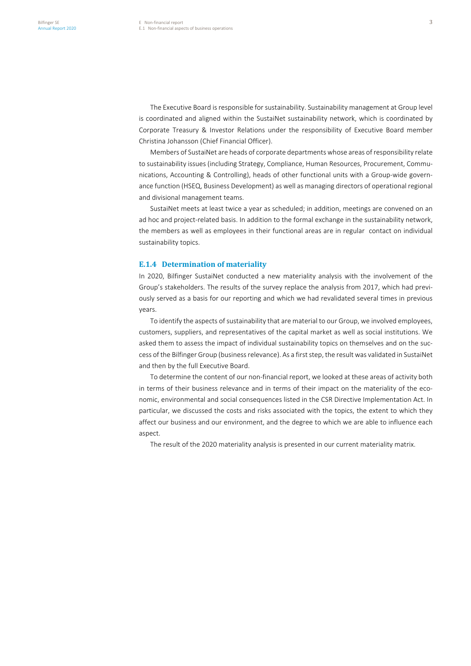The Executive Board is responsible for sustainability. Sustainability management at Group level is coordinated and aligned within the SustaiNet sustainability network, which is coordinated by Corporate Treasury & Investor Relations under the responsibility of Executive Board member Christina Johansson (Chief Financial Officer).

Members of SustaiNet are heads of corporate departments whose areas of responsibility relate to sustainability issues (including Strategy, Compliance, Human Resources, Procurement, Communications, Accounting & Controlling), heads of other functional units with a Group-wide governance function (HSEQ, Business Development) as well as managing directors of operational regional and divisional management teams.

SustaiNet meets at least twice a year as scheduled; in addition, meetings are convened on an ad hoc and project-related basis. In addition to the formal exchange in the sustainability network, the members as well as employees in their functional areas are in regular contact on individual sustainability topics.

# **E.1.4 Determination of materiality**

In 2020, Bilfinger SustaiNet conducted a new materiality analysis with the involvement of the Group's stakeholders. The results of the survey replace the analysis from 2017, which had previously served as a basis for our reporting and which we had revalidated several times in previous years.

To identify the aspects of sustainability that are material to our Group, we involved employees, customers, suppliers, and representatives of the capital market as well as social institutions. We asked them to assess the impact of individual sustainability topics on themselves and on the success of the Bilfinger Group (business relevance). As a first step, the result was validated in SustaiNet and then by the full Executive Board.

To determine the content of our non-financial report, we looked at these areas of activity both in terms of their business relevance and in terms of their impact on the materiality of the economic, environmental and social consequences listed in the CSR Directive Implementation Act. In particular, we discussed the costs and risks associated with the topics, the extent to which they affect our business and our environment, and the degree to which we are able to influence each aspect.

The result of the 2020 materiality analysis is presented in our current materiality matrix.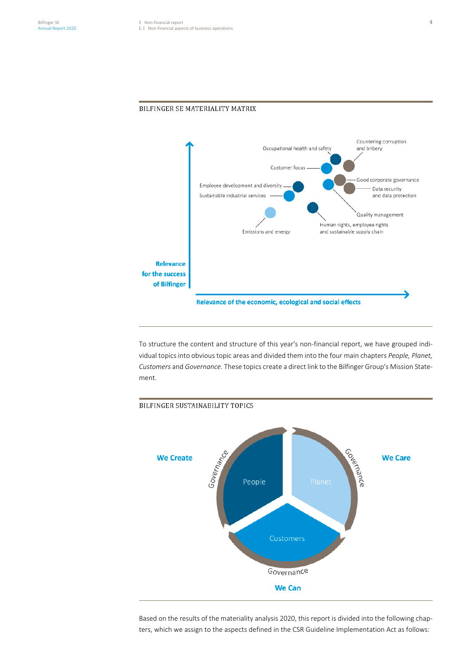

To structure the content and structure of this year's non-financial report, we have grouped individual topics into obvious topic areas and divided them into the four main chapters *People, Planet, Customers* and *Governance*. These topics create a direct link to the Bilfinger Group's Mission Statement.



Based on the results of the materiality analysis 2020, this report is divided into the following chapters, which we assign to the aspects defined in the CSR Guideline Implementation Act as follows:

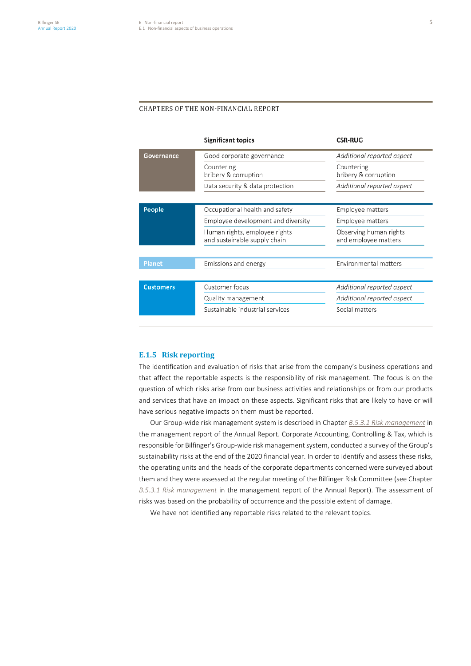# CHAPTERS OF THE NON-FINANCIAL REPORT

|                  | <b>Significant topics</b>                                     | <b>CSR-RUG</b>                                 |
|------------------|---------------------------------------------------------------|------------------------------------------------|
| Governance       | Good corporate governance                                     | Additional reported aspect                     |
|                  | Countering<br>bribery & corruption                            | Countering<br>bribery & corruption             |
|                  | Data security & data protection                               | Additional reported aspect                     |
|                  |                                                               |                                                |
| People           | Occupational health and safety                                | Employee matters                               |
|                  | Employee development and diversity                            | Employee matters                               |
|                  | Human rights, employee rights<br>and sustainable supply chain | Observing human rights<br>and employee matters |
|                  |                                                               |                                                |
| Planet           | Emissions and energy                                          | Environmental matters                          |
|                  |                                                               |                                                |
| <b>Customers</b> | Customer focus                                                | Additional reported aspect                     |
|                  | Quality management                                            | Additional reported aspect                     |
|                  | Sustainable industrial services                               | Social matters                                 |

## **E.1.5 Risk reporting**

The identification and evaluation of risks that arise from the company's business operations and that affect the reportable aspects is the responsibility of risk management. The focus is on the question of which risks arise from our business activities and relationships or from our products and services that have an impact on these aspects. Significant risks that are likely to have or will have serious negative impacts on them must be reported.

Our Group-wide risk management system is described in Chapter *B.5.3.1 Risk management* in the management report of the Annual Report. Corporate Accounting, Controlling & Tax, which is responsible for Bilfinger's Group-wide risk management system, conducted a survey of the Group's sustainability risks at the end of the 2020 financial year. In order to identify and assess these risks, the operating units and the heads of the corporate departments concerned were surveyed about them and they were assessed at the regular meeting of the Bilfinger Risk Committee (see Chapter *B.5.3.1 Risk management* in the management report of the Annual Report). The assessment of risks was based on the probability of occurrence and the possible extent of damage.

We have not identified any reportable risks related to the relevant topics.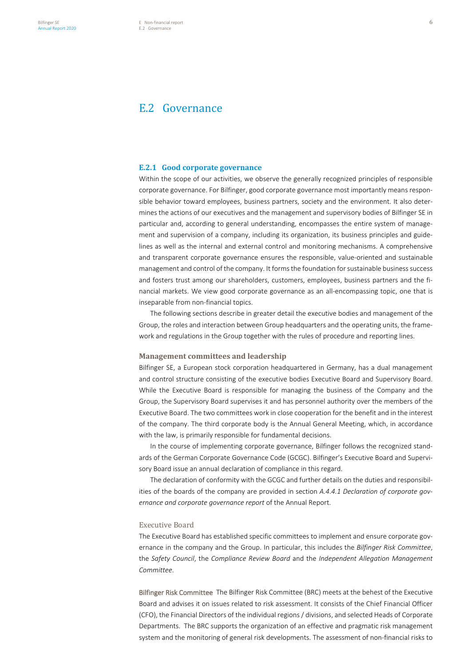# E.2 Governance

#### **E.2.1 Good corporate governance**

Within the scope of our activities, we observe the generally recognized principles of responsible corporate governance. For Bilfinger, good corporate governance most importantly means responsible behavior toward employees, business partners, society and the environment. It also determines the actions of our executives and the management and supervisory bodies of Bilfinger SE in particular and, according to general understanding, encompasses the entire system of management and supervision of a company, including its organization, its business principles and guidelines as well as the internal and external control and monitoring mechanisms. A comprehensive and transparent corporate governance ensures the responsible, value-oriented and sustainable management and control of the company. It forms the foundation for sustainable business success and fosters trust among our shareholders, customers, employees, business partners and the financial markets. We view good corporate governance as an all-encompassing topic, one that is inseparable from non-financial topics.

The following sections describe in greater detail the executive bodies and management of the Group, the roles and interaction between Group headquarters and the operating units, the framework and regulations in the Group together with the rules of procedure and reporting lines.

# **Management committees and leadership**

Bilfinger SE, a European stock corporation headquartered in Germany, has a dual management and control structure consisting of the executive bodies Executive Board and Supervisory Board. While the Executive Board is responsible for managing the business of the Company and the Group, the Supervisory Board supervises it and has personnel authority over the members of the Executive Board. The two committees work in close cooperation for the benefit and in the interest of the company. The third corporate body is the Annual General Meeting, which, in accordance with the law, is primarily responsible for fundamental decisions.

In the course of implementing corporate governance, Bilfinger follows the recognized standards of the German Corporate Governance Code (GCGC). Bilfinger's Executive Board and Supervisory Board issue an annual declaration of compliance in this regard.

The declaration of conformity with the GCGC and further details on the duties and responsibilities of the boards of the company are provided in section *A.4.4.1 Declaration of corporate governance and corporate governance report* of the Annual Report.

# Executive Board

The Executive Board has established specific committees to implement and ensure corporate governance in the company and the Group. In particular, this includes the *Bilfinger Risk Committee*, the *Safety Council*, the *Compliance Review Board* and the *Independent Allegation Management Committee*.

Bilfinger Risk Committee The Bilfinger Risk Committee (BRC) meets at the behest of the Executive Board and advises it on issues related to risk assessment. It consists of the Chief Financial Officer (CFO), the Financial Directors of the individual regions / divisions, and selected Heads of Corporate Departments. The BRC supports the organization of an effective and pragmatic risk management system and the monitoring of general risk developments. The assessment of non-financial risks to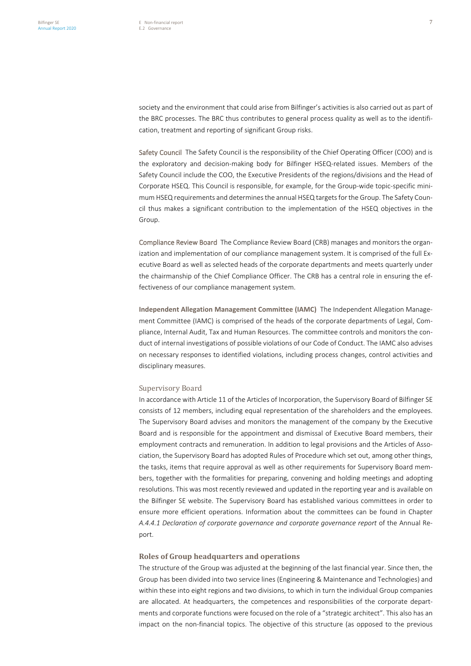society and the environment that could arise from Bilfinger's activities is also carried out as part of the BRC processes. The BRC thus contributes to general process quality as well as to the identification, treatment and reporting of significant Group risks.

Safety Council The Safety Council is the responsibility of the Chief Operating Officer (COO) and is the exploratory and decision-making body for Bilfinger HSEQ-related issues. Members of the Safety Council include the COO, the Executive Presidents of the regions/divisions and the Head of Corporate HSEQ. This Council is responsible, for example, for the Group-wide topic-specific minimum HSEQ requirements and determines the annual HSEQ targets for the Group. The Safety Council thus makes a significant contribution to the implementation of the HSEQ objectives in the Group.

Compliance Review Board The Compliance Review Board (CRB) manages and monitors the organization and implementation of our compliance management system. It is comprised of the full Executive Board as well as selected heads of the corporate departments and meets quarterly under the chairmanship of the Chief Compliance Officer. The CRB has a central role in ensuring the effectiveness of our compliance management system.

**Independent Allegation Management Committee (IAMC)** The Independent Allegation Management Committee (IAMC) is comprised of the heads of the corporate departments of Legal, Compliance, Internal Audit, Tax and Human Resources. The committee controls and monitors the conduct of internal investigations of possible violations of our Code of Conduct. The IAMC also advises on necessary responses to identified violations, including process changes, control activities and disciplinary measures.

#### Supervisory Board

In accordance with Article 11 of the Articles of Incorporation, the Supervisory Board of Bilfinger SE consists of 12 members, including equal representation of the shareholders and the employees. The Supervisory Board advises and monitors the management of the company by the Executive Board and is responsible for the appointment and dismissal of Executive Board members, their employment contracts and remuneration. In addition to legal provisions and the Articles of Association, the Supervisory Board has adopted Rules of Procedure which set out, among other things, the tasks, items that require approval as well as other requirements for Supervisory Board members, together with the formalities for preparing, convening and holding meetings and adopting resolutions. This was most recently reviewed and updated in the reporting year and is available on the Bilfinger SE website. The Supervisory Board has established various committees in order to ensure more efficient operations. Information about the committees can be found in Chapter *A.4.4.1 Declaration of corporate governance and corporate governance report* of the Annual Report.

#### **Roles of Group headquarters and operations**

The structure of the Group was adjusted at the beginning of the last financial year. Since then, the Group has been divided into two service lines (Engineering & Maintenance and Technologies) and within these into eight regions and two divisions, to which in turn the individual Group companies are allocated. At headquarters, the competences and responsibilities of the corporate departments and corporate functions were focused on the role of a "strategic architect". This also has an impact on the non-financial topics. The objective of this structure (as opposed to the previous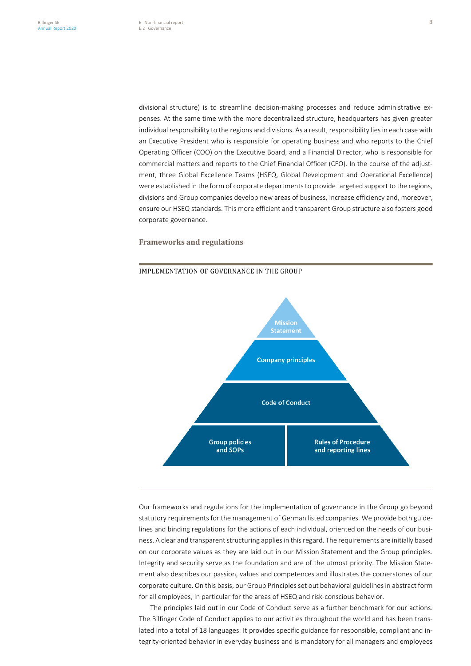divisional structure) is to streamline decision-making processes and reduce administrative expenses. At the same time with the more decentralized structure, headquarters has given greater individual responsibility to the regions and divisions. As a result, responsibility lies in each case with an Executive President who is responsible for operating business and who reports to the Chief Operating Officer (COO) on the Executive Board, and a Financial Director, who is responsible for commercial matters and reports to the Chief Financial Officer (CFO). In the course of the adjustment, three Global Excellence Teams (HSEQ, Global Development and Operational Excellence) were established in the form of corporate departments to provide targeted support to the regions, divisions and Group companies develop new areas of business, increase efficiency and, moreover, ensure our HSEQ standards. This more efficient and transparent Group structure also fosters good corporate governance.

# **Frameworks and regulations**





Our frameworks and regulations for the implementation of governance in the Group go beyond statutory requirements for the management of German listed companies. We provide both guidelines and binding regulations for the actions of each individual, oriented on the needs of our business. A clear and transparent structuring applies in this regard. The requirements are initially based on our corporate values as they are laid out in our Mission Statement and the Group principles. Integrity and security serve as the foundation and are of the utmost priority. The Mission Statement also describes our passion, values and competences and illustrates the cornerstones of our corporate culture. On this basis, our Group Principles set out behavioral guidelines in abstract form for all employees, in particular for the areas of HSEQ and risk-conscious behavior.

The principles laid out in our Code of Conduct serve as a further benchmark for our actions. The Bilfinger Code of Conduct applies to our activities throughout the world and has been translated into a total of 18 languages. It provides specific guidance for responsible, compliant and integrity-oriented behavior in everyday business and is mandatory for all managers and employees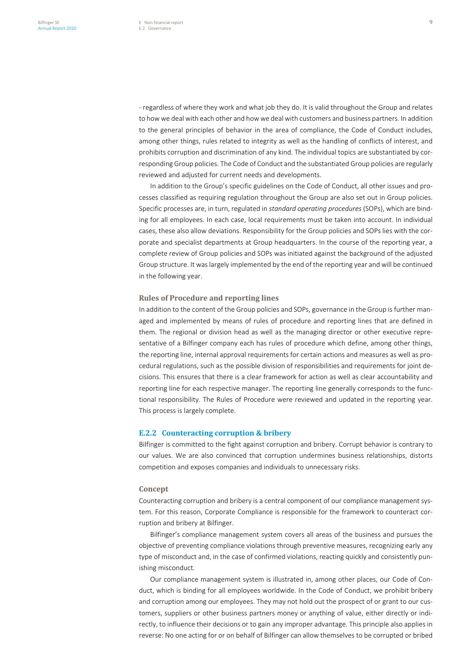- regardless of where they work and what job they do. It is valid throughout the Group and relates to how we deal with each other and how we deal with customers and business partners. In addition to the general principles of behavior in the area of compliance, the Code of Conduct includes, among other things, rules related to integrity as well as the handling of conflicts of interest, and prohibits corruption and discrimination of any kind. The individual topics are substantiated by corresponding Group policies. The Code of Conduct and the substantiated Group policies are regularly reviewed and adjusted for current needs and developments.

In addition to the Group's specific guidelines on the Code of Conduct, all other issues and processes classified as requiring regulation throughout the Group are also set out in Group policies. Specific processes are, in turn, regulated in *standard operating procedures* (SOPs), which are binding for all employees. In each case, local requirements must be taken into account. In individual cases, these also allow deviations. Responsibility for the Group policies and SOPs lies with the corporate and specialist departments at Group headquarters. In the course of the reporting year, a complete review of Group policies and SOPs was initiated against the background of the adjusted Group structure. It was largely implemented by the end of the reporting year and will be continued in the following year.

# **Rules of Procedure and reporting lines**

In addition to the content of the Group policies and SOPs, governance in the Group is further managed and implemented by means of rules of procedure and reporting lines that are defined in them. The regional or division head as well as the managing director or other executive representative of a Bilfinger company each has rules of procedure which define, among other things, the reporting line, internal approval requirements for certain actions and measures as well as procedural regulations, such as the possible division of responsibilities and requirements for joint decisions. This ensures that there is a clear framework for action as well as clear accountability and reporting line for each respective manager. The reporting line generally corresponds to the functional responsibility. The Rules of Procedure were reviewed and updated in the reporting year. This process is largely complete.

# **E.2.2 Counteracting corruption & bribery**

Bilfinger is committed to the fight against corruption and bribery. Corrupt behavior is contrary to our values. We are also convinced that corruption undermines business relationships, distorts competition and exposes companies and individuals to unnecessary risks.

#### **Concept**

Counteracting corruption and bribery is a central component of our compliance management system. For this reason, Corporate Compliance is responsible for the framework to counteract corruption and bribery at Bilfinger.

Bilfinger's compliance management system covers all areas of the business and pursues the objective of preventing compliance violations through preventive measures, recognizing early any type of misconduct and, in the case of confirmed violations, reacting quickly and consistently punishing misconduct.

Our compliance management system is illustrated in, among other places, our Code of Conduct, which is binding for all employees worldwide. In the Code of Conduct, we prohibit bribery and corruption among our employees. They may not hold out the prospect of or grant to our customers, suppliers or other business partners money or anything of value, either directly or indirectly, to influence their decisions or to gain any improper advantage. This principle also applies in reverse: No one acting for or on behalf of Bilfinger can allow themselves to be corrupted or bribed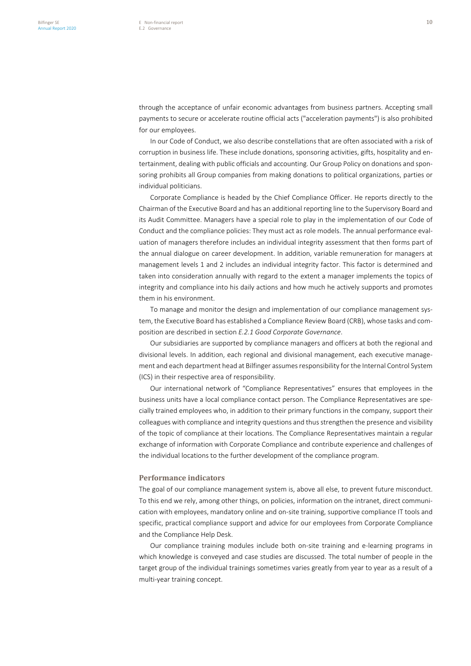through the acceptance of unfair economic advantages from business partners. Accepting small payments to secure or accelerate routine official acts ("acceleration payments") is also prohibited for our employees.

In our Code of Conduct, we also describe constellations that are often associated with a risk of corruption in business life. These include donations, sponsoring activities, gifts, hospitality and entertainment, dealing with public officials and accounting. Our Group Policy on donations and sponsoring prohibits all Group companies from making donations to political organizations, parties or individual politicians.

Corporate Compliance is headed by the Chief Compliance Officer. He reports directly to the Chairman of the Executive Board and has an additional reporting line to the Supervisory Board and its Audit Committee. Managers have a special role to play in the implementation of our Code of Conduct and the compliance policies: They must act as role models. The annual performance evaluation of managers therefore includes an individual integrity assessment that then forms part of the annual dialogue on career development. In addition, variable remuneration for managers at management levels 1 and 2 includes an individual integrity factor. This factor is determined and taken into consideration annually with regard to the extent a manager implements the topics of integrity and compliance into his daily actions and how much he actively supports and promotes them in his environment.

To manage and monitor the design and implementation of our compliance management system, the Executive Board has established a Compliance Review Board (CRB), whose tasks and composition are described in section *E.2.1 Good Corporate Governance*.

Our subsidiaries are supported by compliance managers and officers at both the regional and divisional levels. In addition, each regional and divisional management, each executive management and each department head at Bilfinger assumes responsibility for the Internal Control System (ICS) in their respective area of responsibility.

Our international network of "Compliance Representatives" ensures that employees in the business units have a local compliance contact person. The Compliance Representatives are specially trained employees who, in addition to their primary functions in the company, support their colleagues with compliance and integrity questions and thus strengthen the presence and visibility of the topic of compliance at their locations. The Compliance Representatives maintain a regular exchange of information with Corporate Compliance and contribute experience and challenges of the individual locations to the further development of the compliance program.

#### **Performance indicators**

The goal of our compliance management system is, above all else, to prevent future misconduct. To this end we rely, among other things, on policies, information on the intranet, direct communication with employees, mandatory online and on-site training, supportive compliance IT tools and specific, practical compliance support and advice for our employees from Corporate Compliance and the Compliance Help Desk.

Our compliance training modules include both on-site training and e-learning programs in which knowledge is conveyed and case studies are discussed. The total number of people in the target group of the individual trainings sometimes varies greatly from year to year as a result of a multi-year training concept.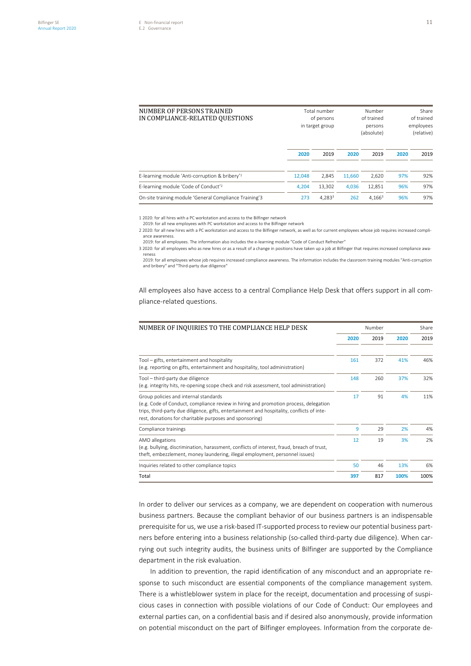| NUMBER OF PERSONS TRAINED<br>IN COMPLIANCE-RELATED OUESTIONS |        | Total number<br>of persons<br>in target group | Number<br>of trained<br>persons<br>(absolute) |                    | Share<br>of trained<br>employees<br>(relative) |      |
|--------------------------------------------------------------|--------|-----------------------------------------------|-----------------------------------------------|--------------------|------------------------------------------------|------|
|                                                              | 2020   | 2019                                          | 2020                                          | 2019               | 2020                                           | 2019 |
| E-learning module 'Anti-corruption & bribery' <sup>1</sup>   | 12.048 | 2.845                                         | 11.660                                        | 2,620              | 97%                                            | 92%  |
| E-learning module 'Code of Conduct' <sup>2</sup>             | 4.204  | 13.302                                        | 4.036                                         | 12.851             | 96%                                            | 97%  |
| On-site training module 'General Compliance Training'3       | 273    | 4.283 <sup>3</sup>                            | 262                                           | 4.166 <sup>3</sup> | 96%                                            | 97%  |

1 2020: for all hires with a PC workstation and access to the Bilfinger network

2019: for all new employees with PC workstation and access to the Bilfinger network 2 2020: for all new hires with a PC workstation and access to the Bilfinger network, as well as for current employees whose job requires increased compliance awareness.

2019: for all employees. The information also includes the e-learning module "Code of Conduct Refresher"

3 2020: for all employees who as new hires or as a result of a change in positions have taken up a job at Bilfinger that requires increased compliance awa-

reness 2019: for all employees whose job requires increased compliance awareness. The information includes the classroom training modules "Anti-corruption and bribery" and "Third-party due diligence"

All employees also have access to a central Compliance Help Desk that offers support in all compliance-related questions.

| NUMBER OF INQUIRIES TO THE COMPLIANCE HELP DESK                                                                                                                                                                                                                                        |      | Number |      |      |
|----------------------------------------------------------------------------------------------------------------------------------------------------------------------------------------------------------------------------------------------------------------------------------------|------|--------|------|------|
|                                                                                                                                                                                                                                                                                        | 2020 | 2019   | 2020 | 2019 |
|                                                                                                                                                                                                                                                                                        |      |        |      |      |
| Tool - gifts, entertainment and hospitality<br>(e.g. reporting on gifts, entertainment and hospitality, tool administration)                                                                                                                                                           | 161  | 372    | 41%  | 46%  |
| Tool - third-party due diligence<br>(e.g. integrity hits, re-opening scope check and risk assessment, tool administration)                                                                                                                                                             | 148  | 260    | 37%  | 32%  |
| Group policies and internal standards<br>(e.g. Code of Conduct, compliance review in hiring and promotion process, delegation<br>trips, third-party due diligence, gifts, entertainment and hospitality, conflicts of inte-<br>rest, donations for charitable purposes and sponsoring) | 17   | 91     | 4%   | 11%  |
| Compliance trainings                                                                                                                                                                                                                                                                   | 9    | 29     | 2%   | 4%   |
| AMO allegations<br>(e.g. bullying, discrimination, harassment, conflicts of interest, fraud, breach of trust,<br>theft, embezzlement, money laundering, illegal employment, personnel issues)                                                                                          | 12   | 19     | 3%   | 2%   |
| Inquiries related to other compliance topics                                                                                                                                                                                                                                           | 50   | 46     | 13%  | 6%   |
| Total                                                                                                                                                                                                                                                                                  | 397  | 817    | 100% | 100% |

In order to deliver our services as a company, we are dependent on cooperation with numerous business partners. Because the compliant behavior of our business partners is an indispensable prerequisite for us, we use a risk-based IT-supported process to review our potential business partners before entering into a business relationship (so-called third-party due diligence). When carrying out such integrity audits, the business units of Bilfinger are supported by the Compliance department in the risk evaluation.

In addition to prevention, the rapid identification of any misconduct and an appropriate response to such misconduct are essential components of the compliance management system. There is a whistleblower system in place for the receipt, documentation and processing of suspicious cases in connection with possible violations of our Code of Conduct: Our employees and external parties can, on a confidential basis and if desired also anonymously, provide information on potential misconduct on the part of Bilfinger employees. Information from the corporate de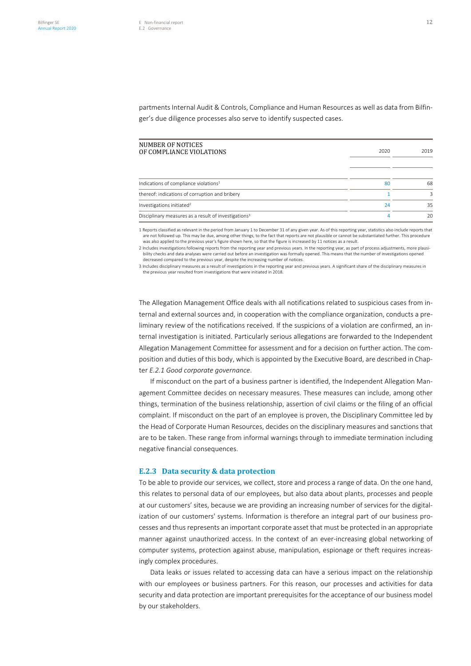partments Internal Audit & Controls, Compliance and Human Resources as well as data from Bilfinger's due diligence processes also serve to identify suspected cases.

| NUMBER OF NOTICES<br>OF COMPLIANCE VIOLATIONS                    | 2020 | 2019 |
|------------------------------------------------------------------|------|------|
| Indications of compliance violations <sup>1</sup>                | 80   | 68   |
| thereof: indications of corruption and bribery                   |      | 3    |
| Investigations initiated <sup>2</sup>                            | 24   | 35   |
| Disciplinary measures as a result of investigations <sup>3</sup> |      | 20   |

1 Reports classified as relevant in the period from January 1 to December 31 of any given year. As of this reporting year, statistics also include reports that are not followed up. This may be due, among other things, to the fact that reports are not plausible or cannot be substantiated further. This procedure was also applied to the previous year's figure shown here, so that the figure is increased by 11 notices as a result.

2 Includes investigations following reports from the reporting year and previous years. In the reporting year, as part of process adjustments, more plausibility checks and data analyses were carried out before an investigation was formally opened. This means that the number of investigations opened decreased compared to the previous year, despite the increasing number of notices.

3 Includes disciplinary measures as a result of investigations in the reporting year and previous years. A significant share of the disciplinary measures in the previous year resulted from investigations that were initiated in 2018.

The Allegation Management Office deals with all notifications related to suspicious cases from internal and external sources and, in cooperation with the compliance organization, conducts a preliminary review of the notifications received. If the suspicions of a violation are confirmed, an internal investigation is initiated. Particularly serious allegations are forwarded to the Independent Allegation Management Committee for assessment and for a decision on further action. The composition and duties of this body, which is appointed by the Executive Board, are described in Chapter *E.2.1 Good corporate governance*.

If misconduct on the part of a business partner is identified, the Independent Allegation Management Committee decides on necessary measures. These measures can include, among other things, termination of the business relationship, assertion of civil claims or the filing of an official complaint. If misconduct on the part of an employee is proven, the Disciplinary Committee led by the Head of Corporate Human Resources, decides on the disciplinary measures and sanctions that are to be taken. These range from informal warnings through to immediate termination including negative financial consequences.

# **E.2.3 Data security & data protection**

To be able to provide our services, we collect, store and process a range of data. On the one hand, this relates to personal data of our employees, but also data about plants, processes and people at our customers' sites, because we are providing an increasing number of services for the digitalization of our customers' systems. Information is therefore an integral part of our business processes and thus represents an important corporate asset that must be protected in an appropriate manner against unauthorized access. In the context of an ever-increasing global networking of computer systems, protection against abuse, manipulation, espionage or theft requires increasingly complex procedures.

Data leaks or issues related to accessing data can have a serious impact on the relationship with our employees or business partners. For this reason, our processes and activities for data security and data protection are important prerequisites for the acceptance of our business model by our stakeholders.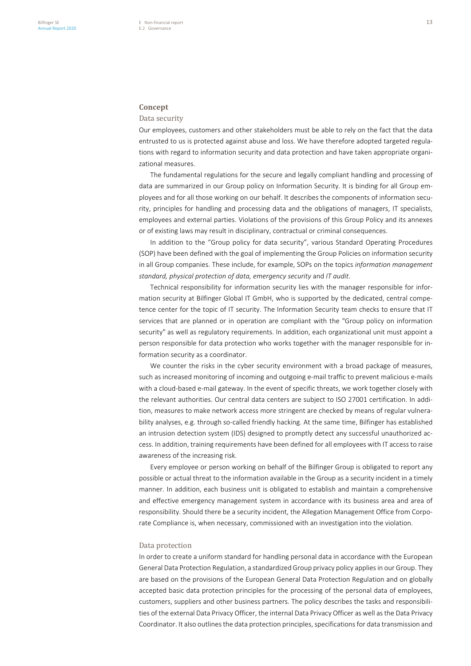# **Concept**

# Data security

Our employees, customers and other stakeholders must be able to rely on the fact that the data entrusted to us is protected against abuse and loss. We have therefore adopted targeted regulations with regard to information security and data protection and have taken appropriate organizational measures.

The fundamental regulations for the secure and legally compliant handling and processing of data are summarized in our Group policy on Information Security. It is binding for all Group employees and for all those working on our behalf. It describes the components of information security, principles for handling and processing data and the obligations of managers, IT specialists, employees and external parties. Violations of the provisions of this Group Policy and its annexes or of existing laws may result in disciplinary, contractual or criminal consequences.

In addition to the "Group policy for data security", various Standard Operating Procedures (SOP) have been defined with the goal of implementing the Group Policies on information security in all Group companies. These include, for example, SOPs on the topics *information management standard, physical protection of data, emergency security* and *IT audit*.

Technical responsibility for information security lies with the manager responsible for information security at Bilfinger Global IT GmbH, who is supported by the dedicated, central competence center for the topic of IT security. The Information Security team checks to ensure that IT services that are planned or in operation are compliant with the "Group policy on information security" as well as regulatory requirements. In addition, each organizational unit must appoint a person responsible for data protection who works together with the manager responsible for information security as a coordinator.

We counter the risks in the cyber security environment with a broad package of measures, such as increased monitoring of incoming and outgoing e-mail traffic to prevent malicious e-mails with a cloud-based e-mail gateway. In the event of specific threats, we work together closely with the relevant authorities. Our central data centers are subject to ISO 27001 certification. In addition, measures to make network access more stringent are checked by means of regular vulnerability analyses, e.g. through so-called friendly hacking. At the same time, Bilfinger has established an intrusion detection system (IDS) designed to promptly detect any successful unauthorized access. In addition, training requirements have been defined for all employees with IT access to raise awareness of the increasing risk.

Every employee or person working on behalf of the Bilfinger Group is obligated to report any possible or actual threat to the information available in the Group as a security incident in a timely manner. In addition, each business unit is obligated to establish and maintain a comprehensive and effective emergency management system in accordance with its business area and area of responsibility. Should there be a security incident, the Allegation Management Office from Corporate Compliance is, when necessary, commissioned with an investigation into the violation.

#### Data protection

In order to create a uniform standard for handling personal data in accordance with the European General Data Protection Regulation, a standardized Group privacy policy applies in our Group. They are based on the provisions of the European General Data Protection Regulation and on globally accepted basic data protection principles for the processing of the personal data of employees, customers, suppliers and other business partners. The policy describes the tasks and responsibilities of the external Data Privacy Officer, the internal Data Privacy Officer as well as the Data Privacy Coordinator. It also outlines the data protection principles, specifications for data transmission and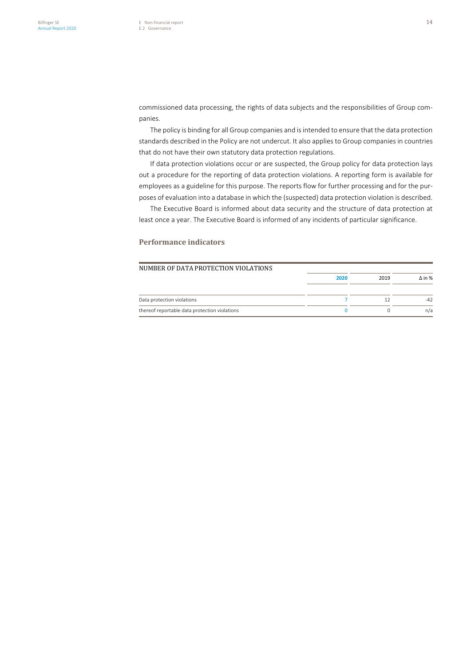commissioned data processing, the rights of data subjects and the responsibilities of Group companies.

The policy is binding for all Group companies and is intended to ensure that the data protection standards described in the Policy are not undercut. It also applies to Group companies in countries that do not have their own statutory data protection regulations.

If data protection violations occur or are suspected, the Group policy for data protection lays out a procedure for the reporting of data protection violations. A reporting form is available for employees as a guideline for this purpose. The reports flow for further processing and for the purposes of evaluation into a database in which the (suspected) data protection violation is described.

The Executive Board is informed about data security and the structure of data protection at least once a year. The Executive Board is informed of any incidents of particular significance.

# **Performance indicators**

| NUMBER OF DATA PROTECTION VIOLATIONS          |      |      |               |
|-----------------------------------------------|------|------|---------------|
|                                               | 2020 | 2019 | $\Delta$ in % |
| Data protection violations                    |      |      | $-42$         |
| thereof reportable data protection violations |      |      | n/a           |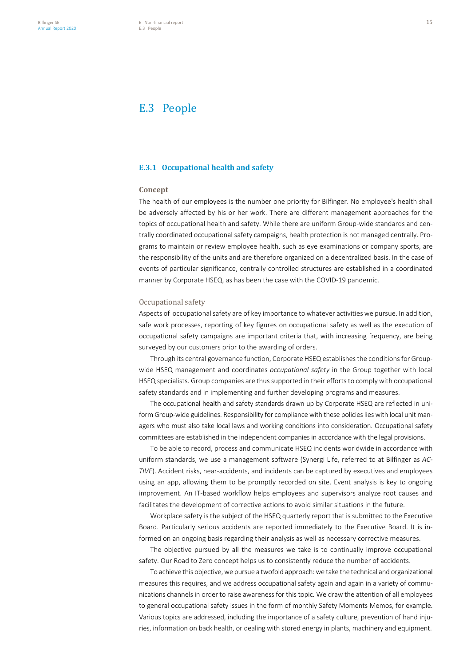# E.3 People

# **E.3.1 Occupational health and safety**

# **Concept**

The health of our employees is the number one priority for Bilfinger. No employee's health shall be adversely affected by his or her work. There are different management approaches for the topics of occupational health and safety. While there are uniform Group-wide standards and centrally coordinated occupational safety campaigns, health protection is not managed centrally. Programs to maintain or review employee health, such as eye examinations or company sports, are the responsibility of the units and are therefore organized on a decentralized basis. In the case of events of particular significance, centrally controlled structures are established in a coordinated manner by Corporate HSEQ, as has been the case with the COVID-19 pandemic.

# Occupational safety

Aspects of occupational safety are of key importance to whatever activities we pursue. In addition, safe work processes, reporting of key figures on occupational safety as well as the execution of occupational safety campaigns are important criteria that, with increasing frequency, are being surveyed by our customers prior to the awarding of orders.

Through its central governance function, Corporate HSEQ establishes the conditions for Groupwide HSEQ management and coordinates *occupational safety* in the Group together with local HSEQ specialists. Group companies are thus supported in their efforts to comply with occupational safety standards and in implementing and further developing programs and measures.

The occupational health and safety standards drawn up by Corporate HSEQ are reflected in uniform Group-wide guidelines. Responsibility for compliance with these policies lies with local unit managers who must also take local laws and working conditions into consideration. Occupational safety committees are established in the independent companies in accordance with the legal provisions.

To be able to record, process and communicate HSEQ incidents worldwide in accordance with uniform standards, we use a management software (Synergi Life, referred to at Bilfinger as *AC-TIVE*). Accident risks, near-accidents, and incidents can be captured by executives and employees using an app, allowing them to be promptly recorded on site. Event analysis is key to ongoing improvement. An IT-based workflow helps employees and supervisors analyze root causes and facilitates the development of corrective actions to avoid similar situations in the future.

Workplace safety is the subject of the HSEQ quarterly report that is submitted to the Executive Board. Particularly serious accidents are reported immediately to the Executive Board. It is informed on an ongoing basis regarding their analysis as well as necessary corrective measures.

The objective pursued by all the measures we take is to continually improve occupational safety. Our Road to Zero concept helps us to consistently reduce the number of accidents.

To achieve this objective, we pursue a twofold approach: we take the technical and organizational measures this requires, and we address occupational safety again and again in a variety of communications channels in order to raise awareness for this topic. We draw the attention of all employees to general occupational safety issues in the form of monthly Safety Moments Memos, for example. Various topics are addressed, including the importance of a safety culture, prevention of hand injuries, information on back health, or dealing with stored energy in plants, machinery and equipment.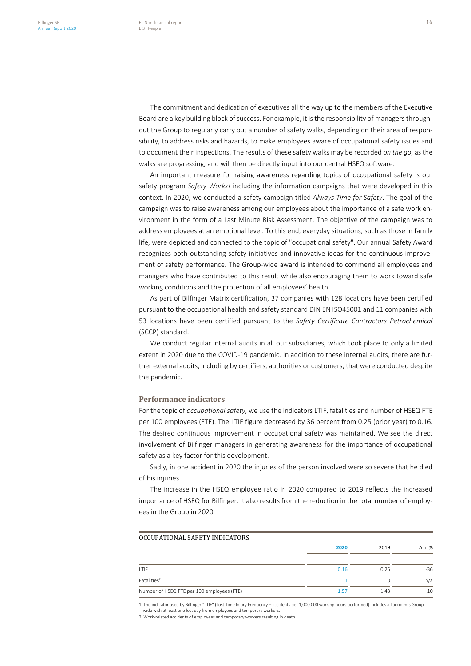The commitment and dedication of executives all the way up to the members of the Executive Board are a key building block of success. For example, it is the responsibility of managers throughout the Group to regularly carry out a number of safety walks, depending on their area of responsibility, to address risks and hazards, to make employees aware of occupational safety issues and to document their inspections. The results of these safety walks may be recorded *on the go*, as the walks are progressing, and will then be directly input into our central HSEQ software.

An important measure for raising awareness regarding topics of occupational safety is our safety program *Safety Works!* including the information campaigns that were developed in this context. In 2020, we conducted a safety campaign titled *Always Time for Safety*. The goal of the campaign was to raise awareness among our employees about the importance of a safe work environment in the form of a Last Minute Risk Assessment. The objective of the campaign was to address employees at an emotional level. To this end, everyday situations, such as those in family life, were depicted and connected to the topic of "occupational safety". Our annual Safety Award recognizes both outstanding safety initiatives and innovative ideas for the continuous improvement of safety performance. The Group-wide award is intended to commend all employees and managers who have contributed to this result while also encouraging them to work toward safe working conditions and the protection of all employees' health.

As part of Bilfinger Matrix certification, 37 companies with 128 locations have been certified pursuant to the occupational health and safety standard DIN EN ISO45001 and 11 companies with 53 locations have been certified pursuant to the *Safety Certificate Contractors Petrochemical* (SCCP) standard.

We conduct regular internal audits in all our subsidiaries, which took place to only a limited extent in 2020 due to the COVID-19 pandemic. In addition to these internal audits, there are further external audits, including by certifiers, authorities or customers, that were conducted despite the pandemic.

# **Performance indicators**

For the topic of *occupational safety*, we use the indicators LTIF, fatalities and number of HSEQ FTE per 100 employees (FTE). The LTIF figure decreased by 36 percent from 0.25 (prior year) to 0.16. The desired continuous improvement in occupational safety was maintained. We see the direct involvement of Bilfinger managers in generating awareness for the importance of occupational safety as a key factor for this development.

Sadly, in one accident in 2020 the injuries of the person involved were so severe that he died of his injuries.

The increase in the HSEQ employee ratio in 2020 compared to 2019 reflects the increased importance of HSEQ for Bilfinger. It also results from the reduction in the total number of employees in the Group in 2020.

| OCCUPATIONAL SAFETY INDICATORS             |      |      |               |
|--------------------------------------------|------|------|---------------|
|                                            | 2020 | 2019 | $\Delta$ in % |
|                                            |      |      |               |
| $1$ TIF <sub>1</sub>                       | 0.16 | 0.25 | $-36$         |
| Fatalities <sup>2</sup>                    |      | 0    | n/a           |
| Number of HSEQ FTE per 100 employees (FTE) | 1.57 | 1.43 | 10            |
|                                            |      |      |               |

1 The indicator used by Bilfinger "LTIF" (Lost Time Injury Frequency – accidents per 1,000,000 working hours performed) includes all accidents Group-wide with at least one lost day from employees and temporary workers.

2 Work-related accidents of employees and temporary workers resulting in death.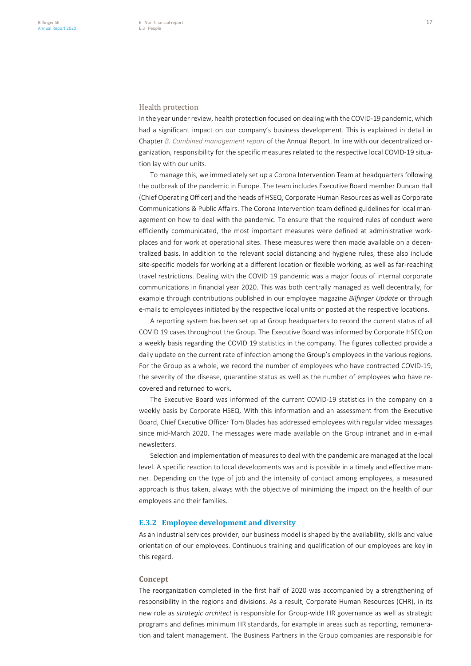# Health protection

In the year under review, health protection focused on dealing with the COVID-19 pandemic, which had a significant impact on our company's business development. This is explained in detail in Chapter *B. Combined management report* of the Annual Report. In line with our decentralized organization, responsibility for the specific measures related to the respective local COVID-19 situation lay with our units.

To manage this, we immediately set up a Corona Intervention Team at headquarters following the outbreak of the pandemic in Europe. The team includes Executive Board member Duncan Hall (Chief Operating Officer) and the heads of HSEQ, Corporate Human Resources as well as Corporate Communications & Public Affairs. The Corona Intervention team defined guidelines for local management on how to deal with the pandemic. To ensure that the required rules of conduct were efficiently communicated, the most important measures were defined at administrative workplaces and for work at operational sites. These measures were then made available on a decentralized basis. In addition to the relevant social distancing and hygiene rules, these also include site-specific models for working at a different location or flexible working, as well as far-reaching travel restrictions. Dealing with the COVID 19 pandemic was a major focus of internal corporate communications in financial year 2020. This was both centrally managed as well decentrally, for example through contributions published in our employee magazine *Bilfinger Update* or through e-mails to employees initiated by the respective local units or posted at the respective locations.

A reporting system has been set up at Group headquarters to record the current status of all COVID 19 cases throughout the Group. The Executive Board was informed by Corporate HSEQ on a weekly basis regarding the COVID 19 statistics in the company. The figures collected provide a daily update on the current rate of infection among the Group's employees in the various regions. For the Group as a whole, we record the number of employees who have contracted COVID-19, the severity of the disease, quarantine status as well as the number of employees who have recovered and returned to work.

The Executive Board was informed of the current COVID-19 statistics in the company on a weekly basis by Corporate HSEQ. With this information and an assessment from the Executive Board, Chief Executive Officer Tom Blades has addressed employees with regular video messages since mid-March 2020. The messages were made available on the Group intranet and in e-mail newsletters.

Selection and implementation of measures to deal with the pandemic are managed at the local level. A specific reaction to local developments was and is possible in a timely and effective manner. Depending on the type of job and the intensity of contact among employees, a measured approach is thus taken, always with the objective of minimizing the impact on the health of our employees and their families.

# **E.3.2 Employee development and diversity**

As an industrial services provider, our business model is shaped by the availability, skills and value orientation of our employees. Continuous training and qualification of our employees are key in this regard.

#### **Concept**

The reorganization completed in the first half of 2020 was accompanied by a strengthening of responsibility in the regions and divisions. As a result, Corporate Human Resources (CHR), in its new role as *strategic architect* is responsible for Group-wide HR governance as well as strategic programs and defines minimum HR standards, for example in areas such as reporting, remuneration and talent management. The Business Partners in the Group companies are responsible for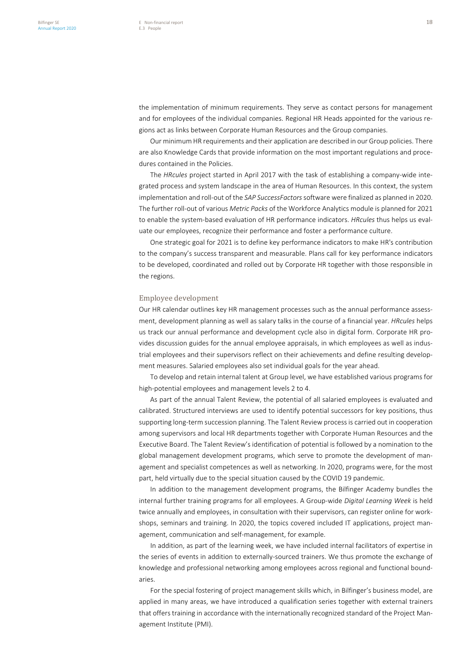the implementation of minimum requirements. They serve as contact persons for management and for employees of the individual companies. Regional HR Heads appointed for the various regions act as links between Corporate Human Resources and the Group companies.

Our minimum HR requirements and their application are described in our Group policies. There are also Knowledge Cards that provide information on the most important regulations and procedures contained in the Policies.

The *HRcules* project started in April 2017 with the task of establishing a company-wide integrated process and system landscape in the area of Human Resources. In this context, the system implementation and roll-out of the *SAP SuccessFactors* software were finalized as planned in 2020. The further roll-out of various *Metric Packs* of the Workforce Analytics module is planned for 2021 to enable the system-based evaluation of HR performance indicators. *HRcules* thus helps us evaluate our employees, recognize their performance and foster a performance culture.

One strategic goal for 2021 is to define key performance indicators to make HR's contribution to the company's success transparent and measurable. Plans call for key performance indicators to be developed, coordinated and rolled out by Corporate HR together with those responsible in the regions.

# Employee development

Our HR calendar outlines key HR management processes such as the annual performance assessment, development planning as well as salary talks in the course of a financial year. *HRcules* helps us track our annual performance and development cycle also in digital form. Corporate HR provides discussion guides for the annual employee appraisals, in which employees as well as industrial employees and their supervisors reflect on their achievements and define resulting development measures. Salaried employees also set individual goals for the year ahead.

To develop and retain internal talent at Group level, we have established various programs for high-potential employees and management levels 2 to 4.

As part of the annual Talent Review, the potential of all salaried employees is evaluated and calibrated. Structured interviews are used to identify potential successors for key positions, thus supporting long-term succession planning. The Talent Review process is carried out in cooperation among supervisors and local HR departments together with Corporate Human Resources and the Executive Board. The Talent Review's identification of potential is followed by a nomination to the global management development programs, which serve to promote the development of management and specialist competences as well as networking. In 2020, programs were, for the most part, held virtually due to the special situation caused by the COVID 19 pandemic.

In addition to the management development programs, the Bilfinger Academy bundles the internal further training programs for all employees. A Group-wide *Digital Learning Week* is held twice annually and employees, in consultation with their supervisors, can register online for workshops, seminars and training. In 2020, the topics covered included IT applications, project management, communication and self-management, for example.

In addition, as part of the learning week, we have included internal facilitators of expertise in the series of events in addition to externally-sourced trainers. We thus promote the exchange of knowledge and professional networking among employees across regional and functional boundaries.

For the special fostering of project management skills which, in Bilfinger's business model, are applied in many areas, we have introduced a qualification series together with external trainers that offers training in accordance with the internationally recognized standard of the Project Management Institute (PMI).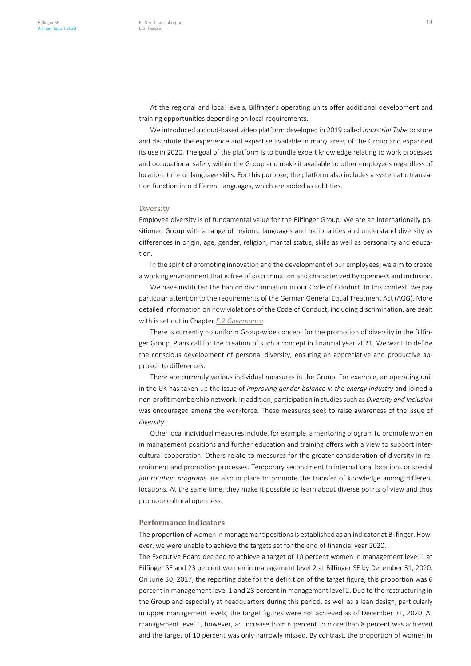At the regional and local levels, Bilfinger's operating units offer additional development and training opportunities depending on local requirements.

We introduced a cloud-based video platform developed in 2019 called *Industrial Tube* to store and distribute the experience and expertise available in many areas of the Group and expanded its use in 2020. The goal of the platform is to bundle expert knowledge relating to work processes and occupational safety within the Group and make it available to other employees regardless of location, time or language skills. For this purpose, the platform also includes a systematic translation function into different languages, which are added as subtitles.

#### Diversity

Employee diversity is of fundamental value for the Bilfinger Group. We are an internationally positioned Group with a range of regions, languages and nationalities and understand diversity as differences in origin, age, gender, religion, marital status, skills as well as personality and education.

In the spirit of promoting innovation and the development of our employees, we aim to create a working environment that is free of discrimination and characterized by openness and inclusion.

We have instituted the ban on discrimination in our Code of Conduct. In this context, we pay particular attention to the requirements of the German General Equal Treatment Act (AGG). More detailed information on how violations of the Code of Conduct, including discrimination, are dealt with is set out in Chapter *E.2 Governance*.

There is currently no uniform Group-wide concept for the promotion of diversity in the Bilfinger Group. Plans call for the creation of such a concept in financial year 2021. We want to define the conscious development of personal diversity, ensuring an appreciative and productive approach to differences.

There are currently various individual measures in the Group. For example, an operating unit in the UK has taken up the issue of *improving gender balance in the energy industry* and joined a non-profit membership network. In addition, participation in studies such as *Diversity and Inclusion* was encouraged among the workforce. These measures seek to raise awareness of the issue of *diversity*.

Other local individual measures include, for example, a mentoring program to promote women in management positions and further education and training offers with a view to support intercultural cooperation. Others relate to measures for the greater consideration of diversity in recruitment and promotion processes. Temporary secondment to international locations or special *job rotation programs* are also in place to promote the transfer of knowledge among different locations. At the same time, they make it possible to learn about diverse points of view and thus promote cultural openness.

# **Performance indicators**

The proportion of women in management positions is established as an indicator at Bilfinger. However, we were unable to achieve the targets set for the end of financial year 2020.

The Executive Board decided to achieve a target of 10 percent women in management level 1 at Bilfinger SE and 23 percent women in management level 2 at Bilfinger SE by December 31, 2020. On June 30, 2017, the reporting date for the definition of the target figure, this proportion was 6 percent in management level 1 and 23 percent in management level 2. Due to the restructuring in the Group and especially at headquarters during this period, as well as a lean design, particularly in upper management levels, the target figures were not achieved as of December 31, 2020. At management level 1, however, an increase from 6 percent to more than 8 percent was achieved and the target of 10 percent was only narrowly missed. By contrast, the proportion of women in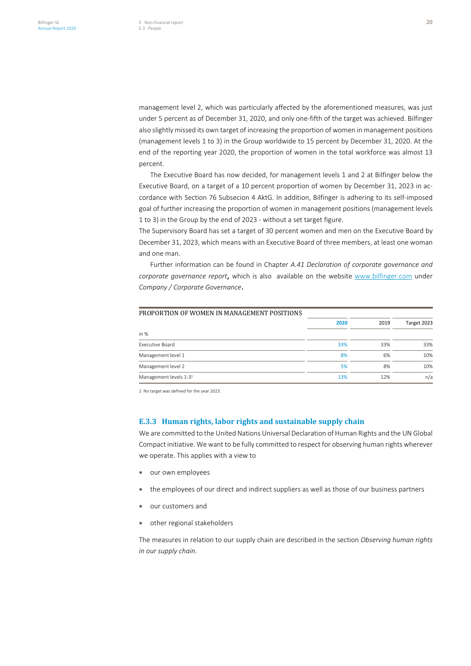management level 2, which was particularly affected by the aforementioned measures, was just under 5 percent as of December 31, 2020, and only one-fifth of the target was achieved. Bilfinger also slightly missed its own target of increasing the proportion of women in management positions (management levels 1 to 3) in the Group worldwide to 15 percent by December 31, 2020. At the end of the reporting year 2020, the proportion of women in the total workforce was almost 13 percent.

The Executive Board has now decided, for management levels 1 and 2 at Bilfinger below the Executive Board, on a target of a 10 percent proportion of women by December 31, 2023 in accordance with Section 76 Subsecion 4 AktG. In addition, Bilfinger is adhering to its self-imposed goal of further increasing the proportion of women in management positions (management levels 1 to 3) in the Group by the end of 2023 - without a set target figure.

The Supervisory Board has set a target of 30 percent women and men on the Executive Board by December 31, 2023, which means with an Executive Board of three members, at least one woman and one man.

Further information can be found in Chapter *A.41 Declaration of corporate governance and corporate governance report*, which is also available on the website www.bilfinger.com under *Company / Corporate Governance*.

| PROPORTION OF WOMEN IN MANAGEMENT POSITIONS |      |      |             |
|---------------------------------------------|------|------|-------------|
|                                             | 2020 | 2019 | Target 2023 |
| in %                                        |      |      |             |
| Executive Board                             | 33%  | 33%  | 33%         |
| Management level 1                          | 8%   | 6%   | 10%         |
| Management level 2                          | 5%   | 8%   | 10%         |
| Management levels 1-3 <sup>1</sup>          | 13%  | 12%  | n/a         |

1 No target was defined for the year 2023.

# **E.3.3 Human rights, labor rights and sustainable supply chain**

We are committed to the United Nations Universal Declaration of Human Rights and the UN Global Compact initiative. We want to be fully committed to respect for observing human rights wherever we operate. This applies with a view to

- our own employees
- the employees of our direct and indirect suppliers as well as those of our business partners
- our customers and
- other regional stakeholders

The measures in relation to our supply chain are described in the section *Observing human rights in our supply chain*.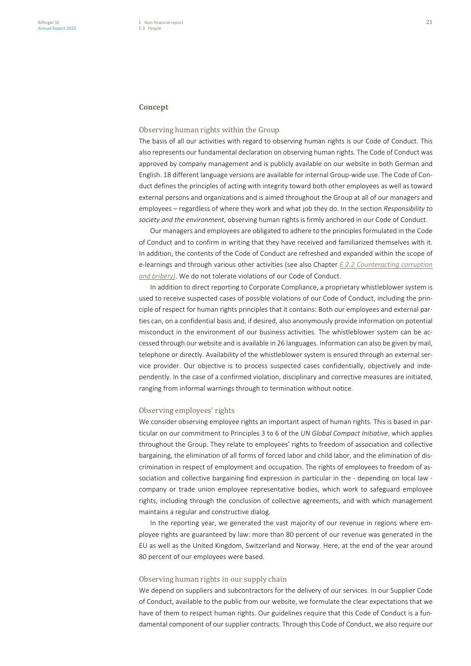# **Concept**

# Observing human rights within the Group

The basis of all our activities with regard to observing human rights is our Code of Conduct. This also represents our fundamental declaration on observing human rights. The Code of Conduct was approved by company management and is publicly available on our website in both German and English. 18 different language versions are available for internal Group-wide use. The Code of Conduct defines the principles of acting with integrity toward both other employees as well as toward external persons and organizations and is aimed throughout the Group at all of our managers and employees – regardless of where they work and what job they do. In the section *Responsibility to society and the environment*, observing human rights is firmly anchored in our Code of Conduct.

Our managers and employees are obligated to adhere to the principles formulated in the Code of Conduct and to confirm in writing that they have received and familiarized themselves with it. In addition, the contents of the Code of Conduct are refreshed and expanded within the scope of e-learnings and through various other activities (see also Chapter *E.2.2 Counteracting corruption and bribery)*. We do not tolerate violations of our Code of Conduct.

In addition to direct reporting to Corporate Compliance, a proprietary whistleblower system is used to receive suspected cases of possible violations of our Code of Conduct, including the principle of respect for human rights principles that it contains: Both our employees and external parties can, on a confidential basis and, if desired, also anonymously provide information on potential misconduct in the environment of our business activities. The whistleblower system can be accessed through our website and is available in 26 languages. Information can also be given by mail, telephone or directly. Availability of the whistleblower system is ensured through an external service provider. Our objective is to process suspected cases confidentially, objectively and independently. In the case of a confirmed violation, disciplinary and corrective measures are initiated, ranging from informal warnings through to termination without notice.

# Observing employees' rights

We consider observing employee rights an important aspect of human rights. This is based in particular on our commitment to Principles 3 to 6 of the *UN Global Compact Initiative*, which applies throughout the Group. They relate to employees' rights to freedom of association and collective bargaining, the elimination of all forms of forced labor and child labor, and the elimination of discrimination in respect of employment and occupation. The rights of employees to freedom of association and collective bargaining find expression in particular in the - depending on local law company or trade union employee representative bodies, which work to safeguard employee rights, including through the conclusion of collective agreements, and with which management maintains a regular and constructive dialog.

In the reporting year, we generated the vast majority of our revenue in regions where employee rights are guaranteed by law: more than 80 percent of our revenue was generated in the EU as well as the United Kingdom, Switzerland and Norway. Here, at the end of the year around 80 percent of our employees were based.

#### Observing human rights in our supply chain

We depend on suppliers and subcontractors for the delivery of our services. In our Supplier Code of Conduct, available to the public from our website, we formulate the clear expectations that we have of them to respect human rights. Our guidelines require that this Code of Conduct is a fundamental component of our supplier contracts. Through this Code of Conduct, we also require our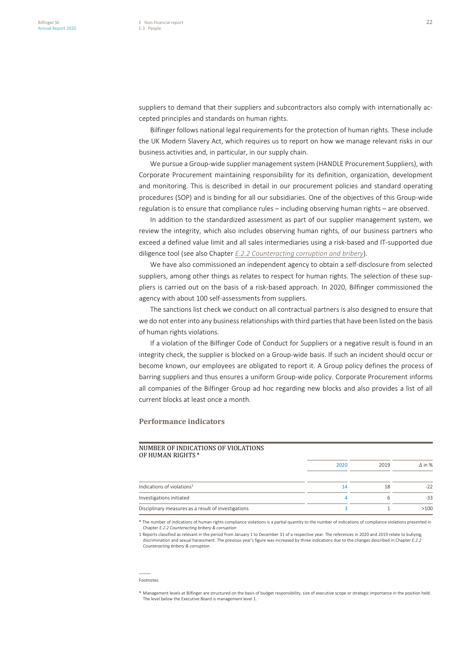suppliers to demand that their suppliers and subcontractors also comply with internationally accepted principles and standards on human rights.

Bilfinger follows national legal requirements for the protection of human rights. These include the UK Modern Slavery Act, which requires us to report on how we manage relevant risks in our business activities and, in particular, in our supply chain.

We pursue a Group-wide supplier management system (HANDLE Procurement Suppliers), with Corporate Procurement maintaining responsibility for its definition, organization, development and monitoring. This is described in detail in our procurement policies and standard operating procedures (SOP) and is binding for all our subsidiaries. One of the objectives of this Group-wide regulation is to ensure that compliance rules – including observing human rights – are observed.

In addition to the standardized assessment as part of our supplier management system, we review the integrity, which also includes observing human rights, of our business partners who exceed a defined value limit and all sales intermediaries using a risk-based and IT-supported due diligence tool (see also Chapter *E.2.2 Counteracting corruption and bribery*).

We have also commissioned an independent agency to obtain a self-disclosure from selected suppliers, among other things as relates to respect for human rights. The selection of these suppliers is carried out on the basis of a risk-based approach. In 2020, Bilfinger commissioned the agency with about 100 self-assessments from suppliers.

The sanctions list check we conduct on all contractual partners is also designed to ensure that we do not enter into any business relationships with third parties that have been listed on the basis of human rights violations.

If a violation of the Bilfinger Code of Conduct for Suppliers or a negative result is found in an integrity check, the supplier is blocked on a Group-wide basis. If such an incident should occur or become known, our employees are obligated to report it. A Group policy defines the process of barring suppliers and thus ensures a uniform Group-wide policy. Corporate Procurement informs all companies of the Bilfinger Group ad hoc regarding new blocks and also provides a list of all current blocks at least once a month.

# **Performance indicators**

| NUMBER OF INDICATIONS OF VIOLATIONS<br>OF HUMAN RIGHTS * |      |      |               |
|----------------------------------------------------------|------|------|---------------|
|                                                          | 2020 | 2019 | $\wedge$ in % |
| Indications of violations <sup>1</sup>                   | 14   | 18   | $-22$         |
| Investigations initiated                                 | 4    | 6    | $-33$         |
| Disciplinary measures as a result of investigations      |      |      | >100          |

\* The number of indications of human rights compliance violations is a partial quantity to the number of indications of compliance violations presented in Chapter *E.2.2 Counteracting bribery & corruptic* 

1 Reports classified as relevant in the period from January 1 to December 31 of a respective year. The references in 2020 and 2019 relate to bullying, discrimination and sexual harassment. The previous year's figure was increased by three indications due to the changes described in Chapter *E.2.2 Counteracting bribery & corruption*.

\* Management levels at Bilfinger are structured on the basis of budget responsibility, size of executive scope or strategic importance in the position held. The level below the Executive Board is management level 1.

<sup>–––––</sup> Footnotes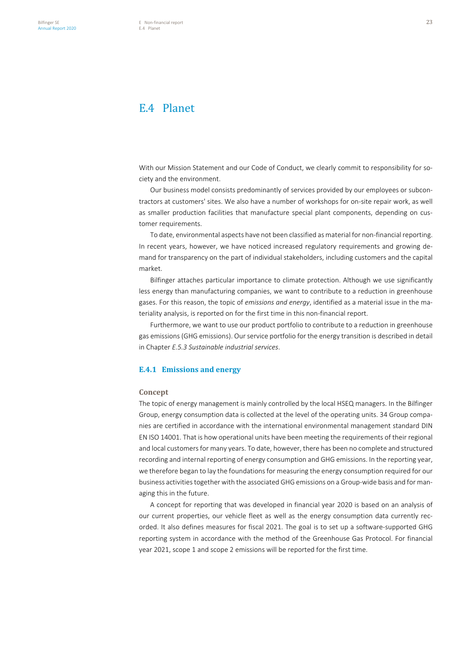# E.4 Planet

With our Mission Statement and our Code of Conduct, we clearly commit to responsibility for society and the environment.

Our business model consists predominantly of services provided by our employees or subcontractors at customers' sites. We also have a number of workshops for on-site repair work, as well as smaller production facilities that manufacture special plant components, depending on customer requirements.

To date, environmental aspects have not been classified as material for non-financial reporting. In recent years, however, we have noticed increased regulatory requirements and growing demand for transparency on the part of individual stakeholders, including customers and the capital market.

Bilfinger attaches particular importance to climate protection. Although we use significantly less energy than manufacturing companies, we want to contribute to a reduction in greenhouse gases. For this reason, the topic of *emissions and energy*, identified as a material issue in the materiality analysis, is reported on for the first time in this non-financial report.

Furthermore, we want to use our product portfolio to contribute to a reduction in greenhouse gas emissions (GHG emissions). Our service portfolio for the energy transition is described in detail in Chapter *E.5.3 Sustainable industrial services*.

# **E.4.1 Emissions and energy**

#### **Concept**

The topic of energy management is mainly controlled by the local HSEQ managers. In the Bilfinger Group, energy consumption data is collected at the level of the operating units. 34 Group companies are certified in accordance with the international environmental management standard DIN EN ISO 14001. That is how operational units have been meeting the requirements of their regional and local customers for many years. To date, however, there has been no complete and structured recording and internal reporting of energy consumption and GHG emissions. In the reporting year, we therefore began to lay the foundations for measuring the energy consumption required for our business activities together with the associated GHG emissions on a Group-wide basis and for managing this in the future.

A concept for reporting that was developed in financial year 2020 is based on an analysis of our current properties, our vehicle fleet as well as the energy consumption data currently recorded. It also defines measures for fiscal 2021. The goal is to set up a software-supported GHG reporting system in accordance with the method of the Greenhouse Gas Protocol. For financial year 2021, scope 1 and scope 2 emissions will be reported for the first time.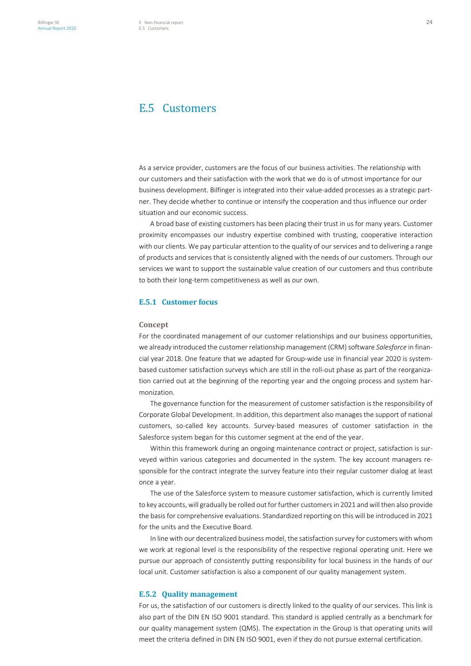# E.5 Customers

As a service provider, customers are the focus of our business activities. The relationship with our customers and their satisfaction with the work that we do is of utmost importance for our business development. Bilfinger is integrated into their value-added processes as a strategic partner. They decide whether to continue or intensify the cooperation and thus influence our order situation and our economic success.

A broad base of existing customers has been placing their trust in us for many years. Customer proximity encompasses our industry expertise combined with trusting, cooperative interaction with our clients. We pay particular attention to the quality of our services and to delivering a range of products and services that is consistently aligned with the needs of our customers. Through our services we want to support the sustainable value creation of our customers and thus contribute to both their long-term competitiveness as well as our own.

# **E.5.1 Customer focus**

# **Concept**

For the coordinated management of our customer relationships and our business opportunities, we already introduced the customer relationship management (CRM) software *Salesforce* in financial year 2018. One feature that we adapted for Group-wide use in financial year 2020 is systembased customer satisfaction surveys which are still in the roll-out phase as part of the reorganization carried out at the beginning of the reporting year and the ongoing process and system harmonization.

The governance function for the measurement of customer satisfaction is the responsibility of Corporate Global Development. In addition, this department also manages the support of national customers, so-called key accounts. Survey-based measures of customer satisfaction in the Salesforce system began for this customer segment at the end of the year.

Within this framework during an ongoing maintenance contract or project, satisfaction is surveyed within various categories and documented in the system. The key account managers responsible for the contract integrate the survey feature into their regular customer dialog at least once a year.

The use of the Salesforce system to measure customer satisfaction, which is currently limited to key accounts, will gradually be rolled out for further customers in 2021 and will then also provide the basis for comprehensive evaluations. Standardized reporting on this will be introduced in 2021 for the units and the Executive Board.

In line with our decentralized business model, the satisfaction survey for customers with whom we work at regional level is the responsibility of the respective regional operating unit. Here we pursue our approach of consistently putting responsibility for local business in the hands of our local unit. Customer satisfaction is also a component of our quality management system.

# **E.5.2 Quality management**

For us, the satisfaction of our customers is directly linked to the quality of our services. This link is also part of the DIN EN ISO 9001 standard. This standard is applied centrally as a benchmark for our quality management system (QMS). The expectation in the Group is that operating units will meet the criteria defined in DIN EN ISO 9001, even if they do not pursue external certification.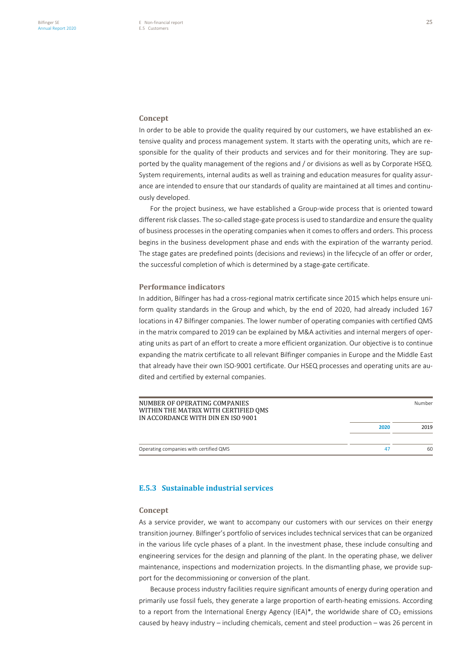# **Concept**

In order to be able to provide the quality required by our customers, we have established an extensive quality and process management system. It starts with the operating units, which are responsible for the quality of their products and services and for their monitoring. They are supported by the quality management of the regions and / or divisions as well as by Corporate HSEQ. System requirements, internal audits as well as training and education measures for quality assurance are intended to ensure that our standards of quality are maintained at all times and continuously developed.

For the project business, we have established a Group-wide process that is oriented toward different risk classes. The so-called stage-gate processis used to standardize and ensure the quality of business processes in the operating companies when it comes to offers and orders. This process begins in the business development phase and ends with the expiration of the warranty period. The stage gates are predefined points (decisions and reviews) in the lifecycle of an offer or order, the successful completion of which is determined by a stage-gate certificate.

# **Performance indicators**

In addition, Bilfinger has had a cross-regional matrix certificate since 2015 which helps ensure uniform quality standards in the Group and which, by the end of 2020, had already included 167 locations in 47 Bilfinger companies. The lower number of operating companies with certified QMS in the matrix compared to 2019 can be explained by M&A activities and internal mergers of operating units as part of an effort to create a more efficient organization. Our objective is to continue expanding the matrix certificate to all relevant Bilfinger companies in Europe and the Middle East that already have their own ISO-9001 certificate. Our HSEQ processes and operating units are audited and certified by external companies.

| NUMBER OF OPERATING COMPANIES<br>WITHIN THE MATRIX WITH CERTIFIED OMS<br>IN ACCORDANCE WITH DIN EN ISO 9001 |      | Number |
|-------------------------------------------------------------------------------------------------------------|------|--------|
|                                                                                                             | 2020 | 2019   |
| Operating companies with certified QMS                                                                      | 47   | 60     |

# **E.5.3 Sustainable industrial services**

#### **Concept**

As a service provider, we want to accompany our customers with our services on their energy transition journey. Bilfinger's portfolio of services includes technical services that can be organized in the various life cycle phases of a plant. In the investment phase, these include consulting and engineering services for the design and planning of the plant. In the operating phase, we deliver maintenance, inspections and modernization projects. In the dismantling phase, we provide support for the decommissioning or conversion of the plant.

Because process industry facilities require significant amounts of energy during operation and primarily use fossil fuels, they generate a large proportion of earth-heating emissions. According to a report from the International Energy Agency (IEA)\*, the worldwide share of  $CO<sub>2</sub>$  emissions caused by heavy industry – including chemicals, cement and steel production – was 26 percent in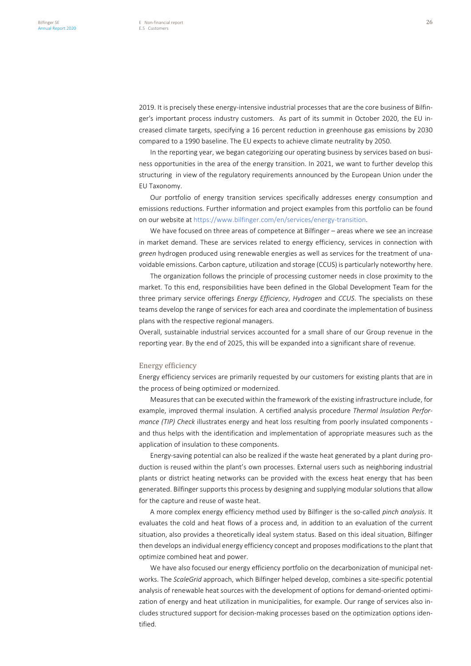2019. It is precisely these energy-intensive industrial processes that are the core business of Bilfinger's important process industry customers. As part of its summit in October 2020, the EU increased climate targets, specifying a 16 percent reduction in greenhouse gas emissions by 2030 compared to a 1990 baseline. The EU expects to achieve climate neutrality by 2050.

In the reporting year, we began categorizing our operating business by services based on business opportunities in the area of the energy transition. In 2021, we want to further develop this structuring in view of the regulatory requirements announced by the European Union under the EU Taxonomy.

Our portfolio of energy transition services specifically addresses energy consumption and emissions reductions. Further information and project examples from this portfolio can be found on our website at https://www.bilfinger.com/en/services/energy-transition.

We have focused on three areas of competence at Bilfinger – areas where we see an increase in market demand. These are services related to energy efficiency, services in connection with *green* hydrogen produced using renewable energies as well as services for the treatment of unavoidable emissions. Carbon capture, utilization and storage (CCUS) is particularly noteworthy here.

The organization follows the principle of processing customer needs in close proximity to the market. To this end, responsibilities have been defined in the Global Development Team for the three primary service offerings *Energy Efficiency*, *Hydrogen* and *CCUS*. The specialists on these teams develop the range of services for each area and coordinate the implementation of business plans with the respective regional managers.

Overall, sustainable industrial services accounted for a small share of our Group revenue in the reporting year. By the end of 2025, this will be expanded into a significant share of revenue.

#### Energy efficiency

Energy efficiency services are primarily requested by our customers for existing plants that are in the process of being optimized or modernized.

Measures that can be executed within the framework of the existing infrastructure include, for example, improved thermal insulation. A certified analysis procedure *Thermal Insulation Performance (TIP) Check* illustrates energy and heat loss resulting from poorly insulated components and thus helps with the identification and implementation of appropriate measures such as the application of insulation to these components.

Energy-saving potential can also be realized if the waste heat generated by a plant during production is reused within the plant's own processes. External users such as neighboring industrial plants or district heating networks can be provided with the excess heat energy that has been generated. Bilfinger supports this process by designing and supplying modular solutions that allow for the capture and reuse of waste heat.

A more complex energy efficiency method used by Bilfinger is the so-called *pinch analysis*. It evaluates the cold and heat flows of a process and, in addition to an evaluation of the current situation, also provides a theoretically ideal system status. Based on this ideal situation, Bilfinger then develops an individual energy efficiency concept and proposes modifications to the plant that optimize combined heat and power.

We have also focused our energy efficiency portfolio on the decarbonization of municipal networks. The *ScaleGrid* approach, which Bilfinger helped develop, combines a site-specific potential analysis of renewable heat sources with the development of options for demand-oriented optimization of energy and heat utilization in municipalities, for example. Our range of services also includes structured support for decision-making processes based on the optimization options identified.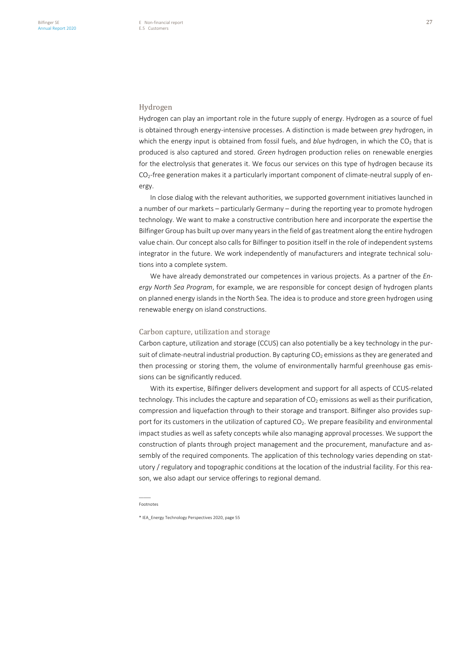#### Hydrogen

Hydrogen can play an important role in the future supply of energy. Hydrogen as a source of fuel is obtained through energy-intensive processes. A distinction is made between *grey* hydrogen, in which the energy input is obtained from fossil fuels, and *blue* hydrogen, in which the CO<sub>2</sub> that is produced is also captured and stored. *Green* hydrogen production relies on renewable energies for the electrolysis that generates it. We focus our services on this type of hydrogen because its  $CO<sub>2</sub>$ -free generation makes it a particularly important component of climate-neutral supply of energy.

In close dialog with the relevant authorities, we supported government initiatives launched in a number of our markets – particularly Germany – during the reporting year to promote hydrogen technology. We want to make a constructive contribution here and incorporate the expertise the Bilfinger Group has built up over many years in the field of gas treatment along the entire hydrogen value chain. Our concept also calls for Bilfinger to position itself in the role of independent systems integrator in the future. We work independently of manufacturers and integrate technical solutions into a complete system.

We have already demonstrated our competences in various projects. As a partner of the *Energy North Sea Program*, for example, we are responsible for concept design of hydrogen plants on planned energy islands in the North Sea. The idea is to produce and store green hydrogen using renewable energy on island constructions.

# Carbon capture, utilization and storage

Carbon capture, utilization and storage (CCUS) can also potentially be a key technology in the pursuit of climate-neutral industrial production. By capturing CO<sub>2</sub> emissions as they are generated and then processing or storing them, the volume of environmentally harmful greenhouse gas emissions can be significantly reduced.

With its expertise, Bilfinger delivers development and support for all aspects of CCUS-related technology. This includes the capture and separation of  $CO<sub>2</sub>$  emissions as well as their purification, compression and liquefaction through to their storage and transport. Bilfinger also provides support for its customers in the utilization of captured  $CO<sub>2</sub>$ . We prepare feasibility and environmental impact studies as well as safety concepts while also managing approval processes. We support the construction of plants through project management and the procurement, manufacture and assembly of the required components. The application of this technology varies depending on statutory / regulatory and topographic conditions at the location of the industrial facility. For this reason, we also adapt our service offerings to regional demand.

<sup>–––––</sup> Footnotes

<sup>\*</sup> IEA\_Energy Technology Perspectives 2020, page 55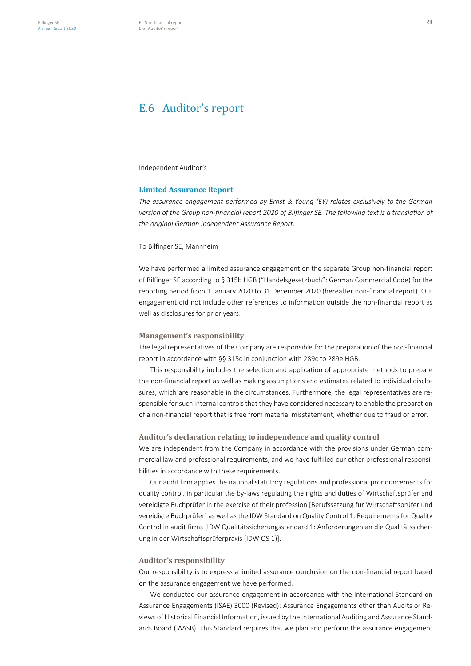# E.6 Auditor's report

Independent Auditor's

# **Limited Assurance Report**

*The assurance engagement performed by Ernst & Young (EY) relates exclusively to the German version of the Group non-financial report 2020 of Bilfinger SE. The following text is a translation of the original German Independent Assurance Report.*

## To Bilfinger SE, Mannheim

We have performed a limited assurance engagement on the separate Group non-financial report of Bilfinger SE according to § 315b HGB ("Handelsgesetzbuch": German Commercial Code) for the reporting period from 1 January 2020 to 31 December 2020 (hereafter non-financial report). Our engagement did not include other references to information outside the non-financial report as well as disclosures for prior years.

# **Management's responsibility**

The legal representatives of the Company are responsible for the preparation of the non-financial report in accordance with §§ 315c in conjunction with 289c to 289e HGB.

This responsibility includes the selection and application of appropriate methods to prepare the non-financial report as well as making assumptions and estimates related to individual disclosures, which are reasonable in the circumstances. Furthermore, the legal representatives are responsible for such internal controls that they have considered necessary to enable the preparation of a non-financial report that is free from material misstatement, whether due to fraud or error.

# **Auditor's declaration relating to independence and quality control**

We are independent from the Company in accordance with the provisions under German commercial law and professional requirements, and we have fulfilled our other professional responsibilities in accordance with these requirements.

Our audit firm applies the national statutory regulations and professional pronouncements for quality control, in particular the by-laws regulating the rights and duties of Wirtschaftsprüfer and vereidigte Buchprüfer in the exercise of their profession [Berufssatzung für Wirtschaftsprüfer und vereidigte Buchprüfer] as well as the IDW Standard on Quality Control 1: Requirements for Quality Control in audit firms [IDW Qualitätssicherungsstandard 1: Anforderungen an die Qualitätssicherung in der Wirtschaftsprüferpraxis (IDW QS 1)].

# **Auditor's responsibility**

Our responsibility is to express a limited assurance conclusion on the non-financial report based on the assurance engagement we have performed.

We conducted our assurance engagement in accordance with the International Standard on Assurance Engagements (ISAE) 3000 (Revised): Assurance Engagements other than Audits or Reviews of Historical Financial Information, issued by the International Auditing and Assurance Standards Board (IAASB). This Standard requires that we plan and perform the assurance engagement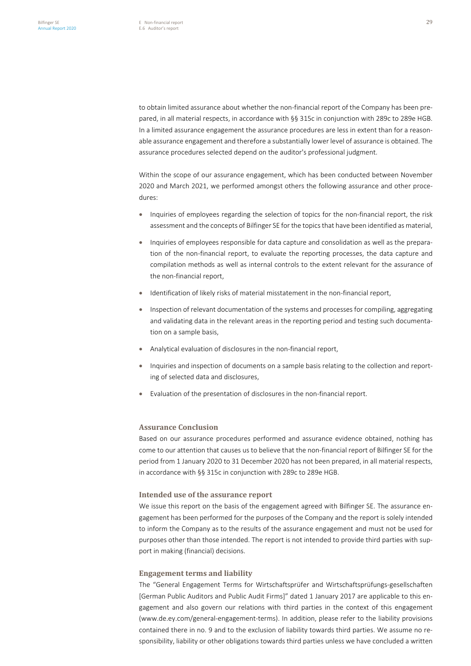to obtain limited assurance about whether the non-financial report of the Company has been prepared, in all material respects, in accordance with §§ 315c in conjunction with 289c to 289e HGB. In a limited assurance engagement the assurance procedures are less in extent than for a reasonable assurance engagement and therefore a substantially lower level of assurance is obtained. The assurance procedures selected depend on the auditor's professional judgment.

Within the scope of our assurance engagement, which has been conducted between November 2020 and March 2021, we performed amongst others the following assurance and other procedures:

- Inquiries of employees regarding the selection of topics for the non-financial report, the risk assessment and the concepts of Bilfinger SE for the topics that have been identified as material,
- Inquiries of employees responsible for data capture and consolidation as well as the preparation of the non-financial report, to evaluate the reporting processes, the data capture and compilation methods as well as internal controls to the extent relevant for the assurance of the non-financial report,
- Identification of likely risks of material misstatement in the non-financial report,
- Inspection of relevant documentation of the systems and processes for compiling, aggregating and validating data in the relevant areas in the reporting period and testing such documentation on a sample basis,
- Analytical evaluation of disclosures in the non-financial report,
- Inquiries and inspection of documents on a sample basis relating to the collection and reporting of selected data and disclosures,
- Evaluation of the presentation of disclosures in the non-financial report.

# **Assurance Conclusion**

Based on our assurance procedures performed and assurance evidence obtained, nothing has come to our attention that causes us to believe that the non-financial report of Bilfinger SE for the period from 1 January 2020 to 31 December 2020 has not been prepared, in all material respects, in accordance with §§ 315c in conjunction with 289c to 289e HGB.

# **Intended use of the assurance report**

We issue this report on the basis of the engagement agreed with Bilfinger SE. The assurance engagement has been performed for the purposes of the Company and the report is solely intended to inform the Company as to the results of the assurance engagement and must not be used for purposes other than those intended. The report is not intended to provide third parties with support in making (financial) decisions.

# **Engagement terms and liability**

The "General Engagement Terms for Wirtschaftsprüfer and Wirtschaftsprüfungs-gesellschaften [German Public Auditors and Public Audit Firms]" dated 1 January 2017 are applicable to this engagement and also govern our relations with third parties in the context of this engagement (www.de.ey.com/general-engagement-terms). In addition, please refer to the liability provisions contained there in no. 9 and to the exclusion of liability towards third parties. We assume no responsibility, liability or other obligations towards third parties unless we have concluded a written